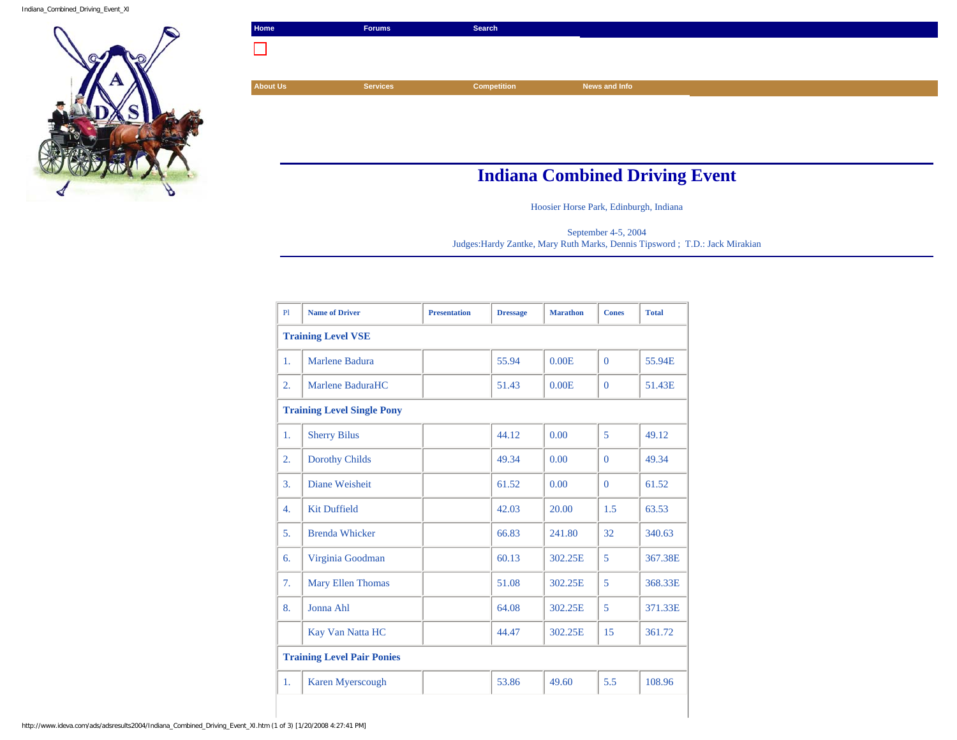Indiana\_Combined\_Driving\_Event\_XI



| Home                                  | <b>Forums</b>   | Search             |               |  |
|---------------------------------------|-----------------|--------------------|---------------|--|
|                                       |                 |                    |               |  |
|                                       |                 |                    |               |  |
| <b>About Us</b>                       | <b>Services</b> | <b>Competition</b> | News and Info |  |
|                                       |                 |                    |               |  |
|                                       |                 |                    |               |  |
|                                       |                 |                    |               |  |
|                                       |                 |                    |               |  |
| <b>Indiana Combined Driving Event</b> |                 |                    |               |  |

Hoosier Horse Park, Edinburgh, Indiana

September 4-5, 2004 Judges:Hardy Zantke, Mary Ruth Marks, Dennis Tipsword ; T.D.: Jack Mirakian

| P1                                | <b>Name of Driver</b>    | <b>Presentation</b> | <b>Dressage</b> | <b>Marathon</b> | <b>Cones</b> | <b>Total</b> |  |
|-----------------------------------|--------------------------|---------------------|-----------------|-----------------|--------------|--------------|--|
| <b>Training Level VSE</b>         |                          |                     |                 |                 |              |              |  |
| 1.                                | Marlene Badura           |                     | 55.94           | 0.00E           | $\Omega$     | 55.94E       |  |
| 2.                                | Marlene BaduraHC         |                     | 51.43           | 0.00E           | $\Omega$     | 51.43E       |  |
| <b>Training Level Single Pony</b> |                          |                     |                 |                 |              |              |  |
| 1.                                | <b>Sherry Bilus</b>      |                     | 44.12           | 0.00            | 5            | 49.12        |  |
| 2.                                | <b>Dorothy Childs</b>    |                     | 49.34           | 0.00            | $\Omega$     | 49.34        |  |
| 3.                                | Diane Weisheit           |                     | 61.52           | 0.00            | $\Omega$     | 61.52        |  |
| 4.                                | <b>Kit Duffield</b>      |                     | 42.03           | 20.00           | 1.5          | 63.53        |  |
| 5 <sub>1</sub>                    | <b>Brenda Whicker</b>    |                     | 66.83           | 241.80          | 32           | 340.63       |  |
| 6.                                | Virginia Goodman         |                     | 60.13           | 302.25E         | 5            | 367.38E      |  |
| 7.                                | <b>Mary Ellen Thomas</b> |                     | 51.08           | 302.25E         | 5            | 368.33E      |  |
| 8.                                | Jonna Ahl                |                     | 64.08           | 302.25E         | 5            | 371.33E      |  |
|                                   | Kay Van Natta HC         |                     | 44.47           | 302.25E         | 15           | 361.72       |  |
| <b>Training Level Pair Ponies</b> |                          |                     |                 |                 |              |              |  |
| 1.                                | <b>Karen Myerscough</b>  |                     | 53.86           | 49.60           | 5.5          | 108.96       |  |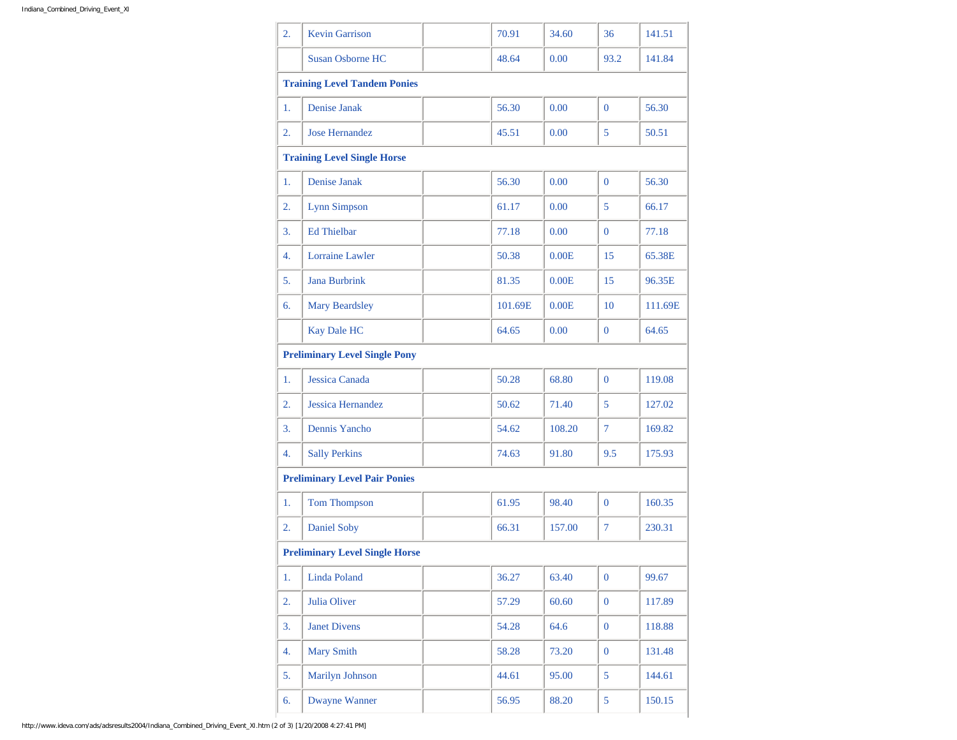| 2. | <b>Kevin Garrison</b>                 | 70.91   | 34.60  | 36               | 141.51  |
|----|---------------------------------------|---------|--------|------------------|---------|
|    | <b>Susan Osborne HC</b>               | 48.64   | 0.00   | 93.2             | 141.84  |
|    | <b>Training Level Tandem Ponies</b>   |         |        |                  |         |
| 1. | Denise Janak                          | 56.30   | 0.00   | $\Omega$         | 56.30   |
| 2. | <b>Jose Hernandez</b>                 | 45.51   | 0.00   | 5                | 50.51   |
|    | <b>Training Level Single Horse</b>    |         |        |                  |         |
| 1. | Denise Janak                          | 56.30   | 0.00   | $\overline{0}$   | 56.30   |
| 2. | <b>Lynn Simpson</b>                   | 61.17   | 0.00   | 5                | 66.17   |
| 3. | <b>Ed Thielbar</b>                    | 77.18   | 0.00   | $\overline{0}$   | 77.18   |
| 4. | <b>Lorraine Lawler</b>                | 50.38   | 0.00E  | 15               | 65.38E  |
| 5. | <b>Jana Burbrink</b>                  | 81.35   | 0.00E  | 15               | 96.35E  |
| 6. | Mary Beardsley                        | 101.69E | 0.00E  | 10               | 111.69E |
|    | <b>Kay Dale HC</b>                    | 64.65   | 0.00   | $\overline{0}$   | 64.65   |
|    | <b>Preliminary Level Single Pony</b>  |         |        |                  |         |
| 1. | Jessica Canada                        | 50.28   | 68.80  | $\overline{0}$   | 119.08  |
| 2. | <b>Jessica Hernandez</b>              | 50.62   | 71.40  | 5                | 127.02  |
| 3. | Dennis Yancho                         | 54.62   | 108.20 | $\overline{7}$   | 169.82  |
| 4. | <b>Sally Perkins</b>                  | 74.63   | 91.80  | 9.5              | 175.93  |
|    | <b>Preliminary Level Pair Ponies</b>  |         |        |                  |         |
| 1. | Tom Thompson                          | 61.95   | 98.40  | $\overline{0}$   | 160.35  |
| 2. | <b>Daniel Soby</b>                    | 66.31   | 157.00 | 7                | 230.31  |
|    | <b>Preliminary Level Single Horse</b> |         |        |                  |         |
| 1. | Linda Poland                          | 36.27   | 63.40  | $\mathbf{0}$     | 99.67   |
| 2. | Julia Oliver                          | 57.29   | 60.60  | $\overline{0}$   | 117.89  |
| 3. | <b>Janet Divens</b>                   | 54.28   | 64.6   | $\boldsymbol{0}$ | 118.88  |
| 4. | <b>Mary Smith</b>                     | 58.28   | 73.20  | $\overline{0}$   | 131.48  |
| 5. | Marilyn Johnson                       | 44.61   | 95.00  | 5                | 144.61  |
| 6. | <b>Dwayne Wanner</b>                  | 56.95   | 88.20  | 5                | 150.15  |